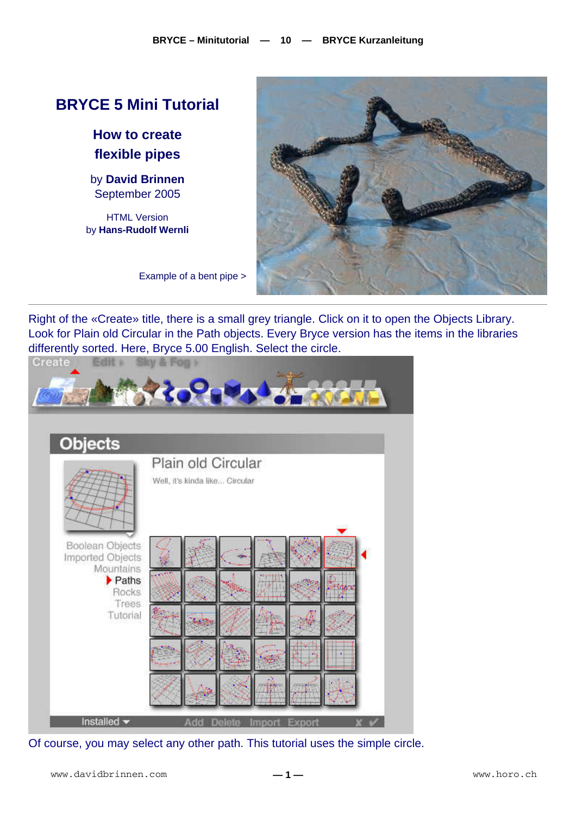## **BRYCE 5 Mini Tutorial**

**How to create flexible pipes** 

by **David Brinnen** September 2005

HTML Version by **Hans-Rudolf Wernli**



Example of a bent pipe >

Right of the «Create» title, there is a small grey triangle. Click on it to open the Objects Library. Look for Plain old Circular in the Path objects. Every Bryce version has the items in the libraries differently sorted. Here, Bryce 5.00 English. Select the circle.



Of course, you may select any other path. This tutorial uses the simple circle.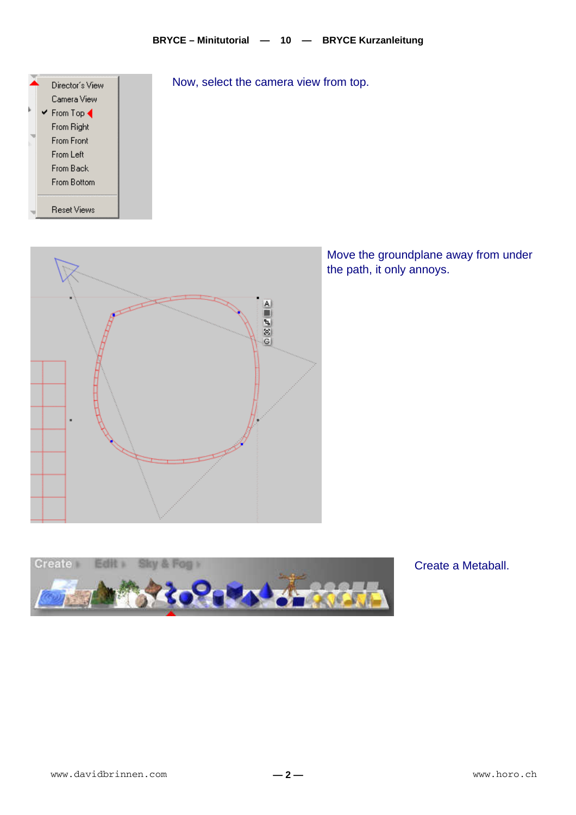

Now, select the camera view from top.



Move the groundplane away from under the path, it only annoys.



Create a Metaball.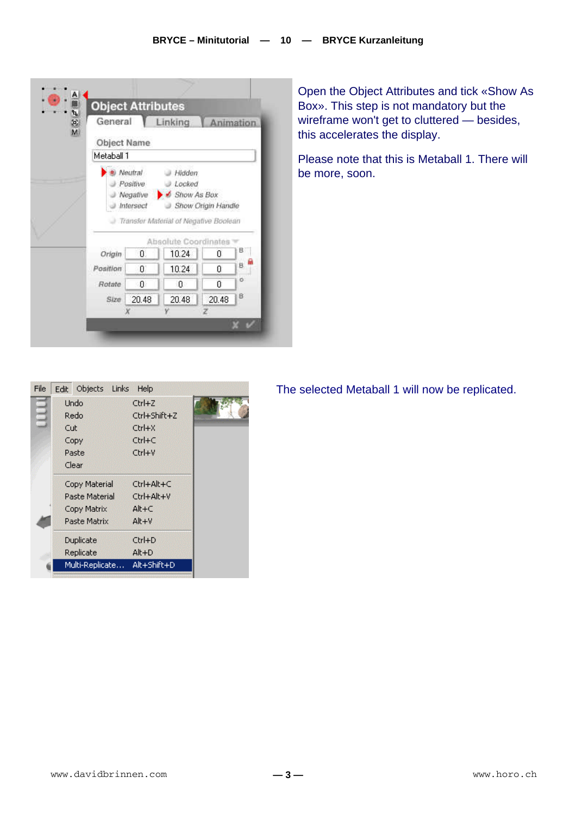|            | General                           | Linking                                                        | Animation          |    |
|------------|-----------------------------------|----------------------------------------------------------------|--------------------|----|
|            | Object Name                       |                                                                |                    |    |
| Metaball 1 |                                   |                                                                |                    |    |
|            | Positive<br>Negative<br>Intersect | Locked<br>Show As Box<br>Transfer Material of Negative Boolean | Show Origin Handle |    |
|            |                                   |                                                                |                    |    |
|            |                                   | Absolute Coordinates                                           |                    |    |
| Origin.    | Ū.                                | 10.24                                                          | Ū                  | в  |
| Position   | O.                                | 10.24                                                          | 0                  | B. |
| Rotate     | o                                 | 0                                                              | 0                  | ö  |
| Size       | 20.48                             | 20.48                                                          | 20.48              | 8  |

Open the Object Attributes and tick «Show As Box». This step is not mandatory but the wireframe won't get to cluttered — besides, this accelerates the display.

Please note that this is Metaball 1. There will be more, soon.

| File | Objects Links<br>Edit | Help         |  |
|------|-----------------------|--------------|--|
|      | <b>Undo</b>           | $CtrI+Z$     |  |
|      | Redo                  | Ctrl+Shift+Z |  |
|      | Cut                   | Ctrl+X       |  |
|      | Copy                  | $Ctrl + C$   |  |
|      | Paste                 | Ctrl+V       |  |
|      | Clear                 |              |  |
|      | Copy Material         | Ctrl+Alt+C   |  |
|      | Paste Material        | Ctrl+Alt+V   |  |
|      | Copy Matrix           | $Alt + C$    |  |
|      | Paste Matrix          | $Alt + V$    |  |
|      | <b>Duplicate</b>      | Ctrl+D       |  |
|      | Replicate             | $Alt + D$    |  |
|      | Multi-Replicate       | Alt+Shift+D  |  |
|      |                       |              |  |

The selected Metaball 1 will now be replicated.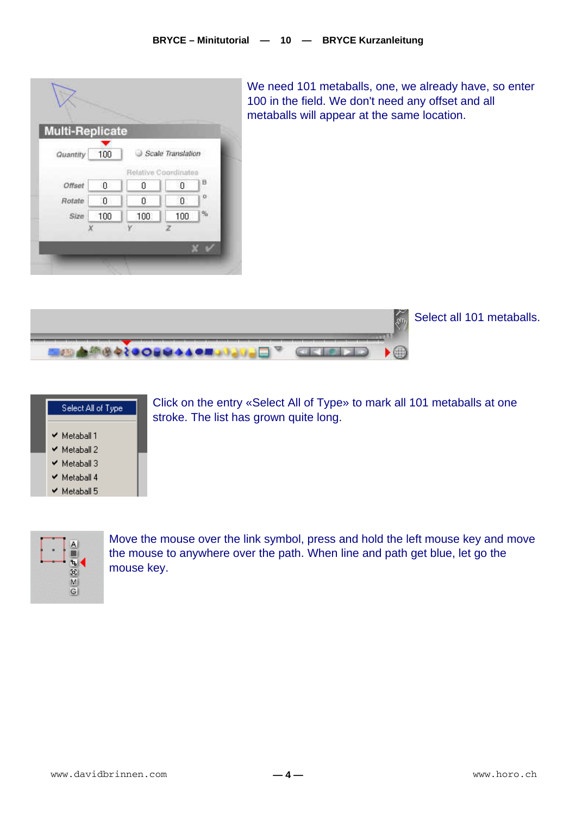

We need 101 metaballs, one, we already have, so enter 100 in the field. We don't need any offset and all metaballs will appear at the same location.



Select all 101 metaballs.



Click on the entry «Select All of Type» to mark all 101 metaballs at one stroke. The list has grown quite long.



Move the mouse over the link symbol, press and hold the left mouse key and move the mouse to anywhere over the path. When line and path get blue, let go the mouse key.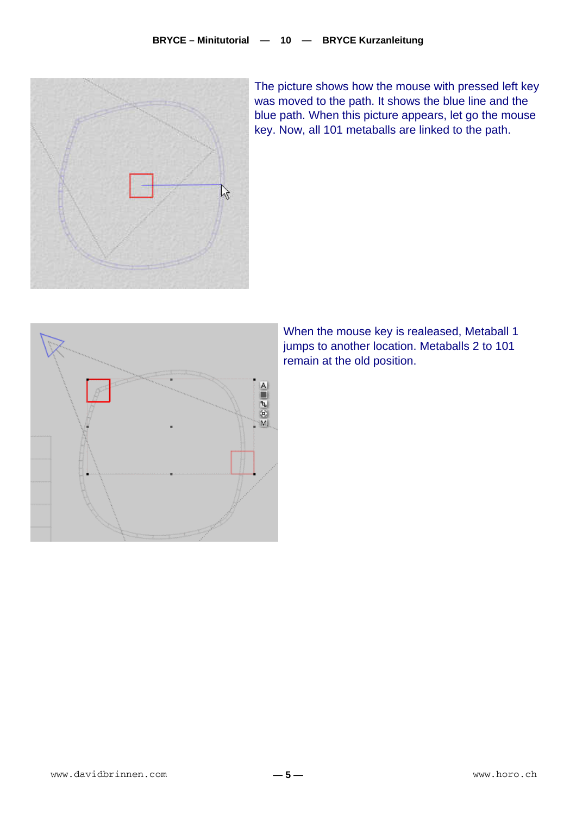

The picture shows how the mouse with pressed left key was moved to the path. It shows the blue line and the blue path. When this picture appears, let go the mouse key. Now, all 101 metaballs are linked to the path.



When the mouse key is realeased, Metaball 1 jumps to another location. Metaballs 2 to 101 remain at the old position.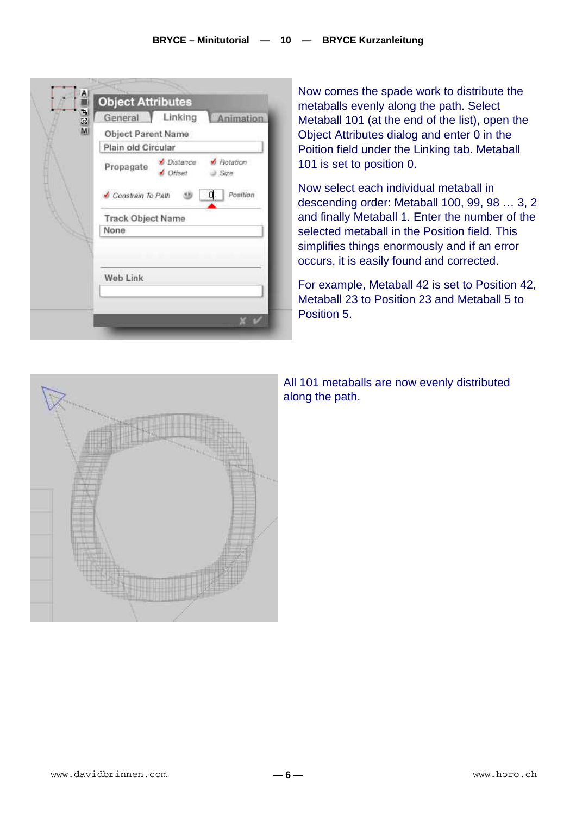| 19. E<br>General | Linking                  | Animation        |
|------------------|--------------------------|------------------|
|                  |                          |                  |
|                  | Object Parent Name       |                  |
|                  | Plain old Circular       |                  |
| Propagate        | Distance<br>Offset       | Rotation<br>Size |
|                  | Constrain To Path        | α<br>Position    |
|                  | <b>Track Object Name</b> |                  |
| None             |                          |                  |
| Web Link         |                          |                  |
|                  |                          |                  |

Now comes the spade work to distribute the metaballs evenly along the path. Select Metaball 101 (at the end of the list), open the Object Attributes dialog and enter 0 in the Poition field under the Linking tab. Metaball 101 is set to position 0.

Now select each individual metaball in descending order: Metaball 100, 99, 98 … 3, 2 and finally Metaball 1. Enter the number of the selected metaball in the Position field. This simplifies things enormously and if an error occurs, it is easily found and corrected.

For example, Metaball 42 is set to Position 42, Metaball 23 to Position 23 and Metaball 5 to Position 5.



All 101 metaballs are now evenly distributed along the path.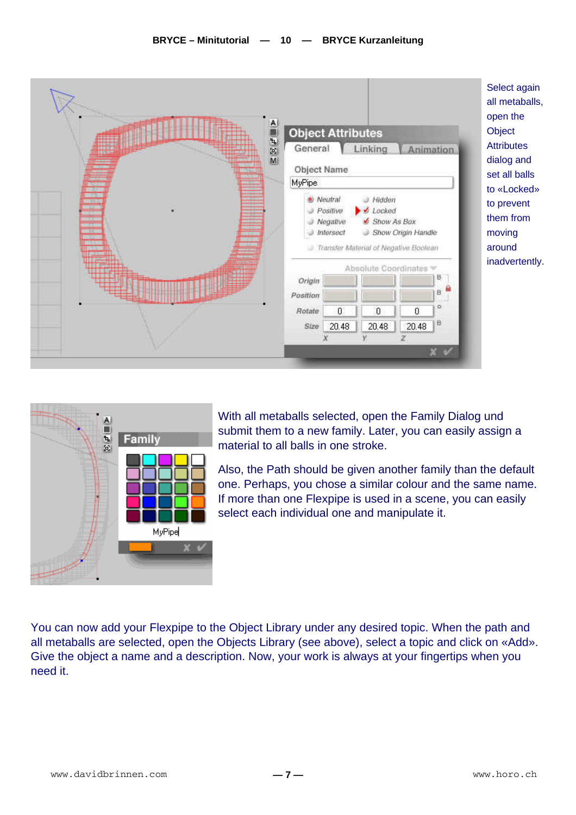



With all metaballs selected, open the Family Dialog und submit them to a new family. Later, you can easily assign a material to all balls in one stroke.

Also, the Path should be given another family than the default one. Perhaps, you chose a similar colour and the same name. If more than one Flexpipe is used in a scene, you can easily select each individual one and manipulate it.

You can now add your Flexpipe to the Object Library under any desired topic. When the path and all metaballs are selected, open the Objects Library (see above), select a topic and click on «Add». Give the object a name and a description. Now, your work is always at your fingertips when you need it.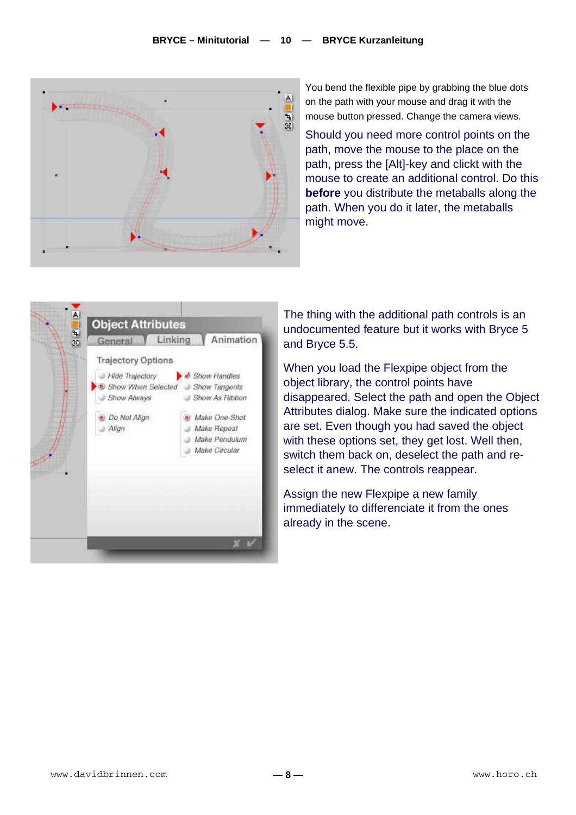

You bend the flexible pipe by grabbing the blue dots on the path with your mouse and drag it with the mouse button pressed. Change the camera views.

Should you need more control points on the path, move the mouse to the place on the path, press the [Alt]-key and clickt with the mouse to create an additional control. Do this **before** you distribute the metaballs along the path. When you do it later, the metaballs might move.



The thing with the additional path controls is an undocumented feature but it works with Bryce 5 and Bryce 5.5.

When you load the Flexpipe object from the object library, the control points have disappeared. Select the path and open the Object Attributes dialog. Make sure the indicated options are set. Even though you had saved the object with these options set, they get lost. Well then, switch them back on, deselect the path and reselect it anew. The controls reappear.

Assign the new Flexpipe a new family immediately to differenciate it from the ones already in the scene.